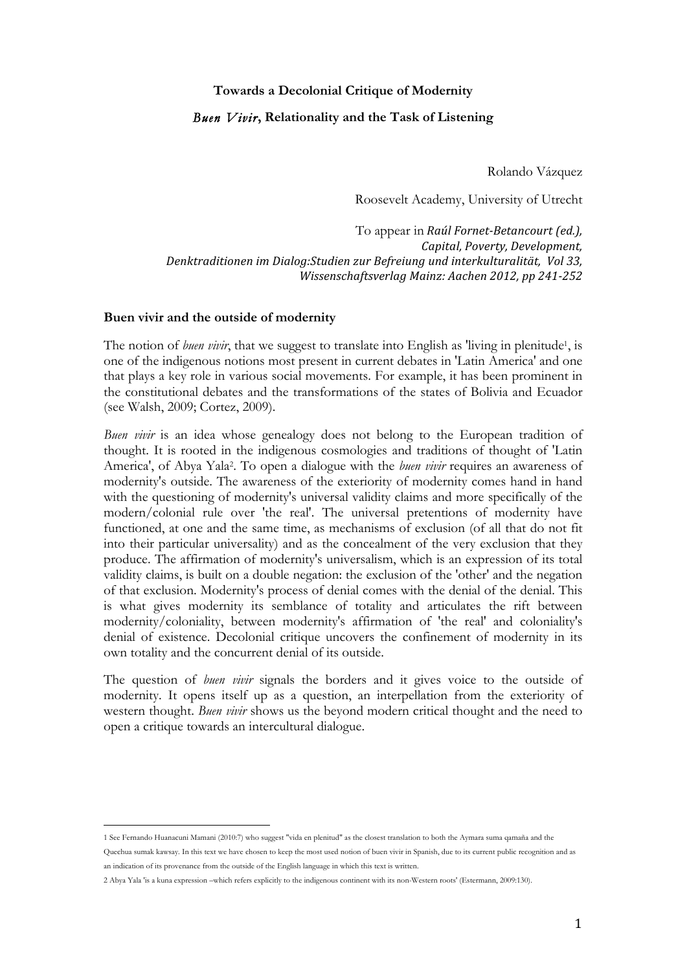### **Towards a Decolonial Critique of Modernity**

## *Buen Vivir***, Relationality and the Task of Listening**

Rolando Vázquez

Roosevelt Academy, University of Utrecht

To appear in *Raúl Fornet-Betancourt (ed.)*, *Capital, Poverty, Development, Denktraditionen im Dialog:Studien zur Befreiung und interkulturalität, Vol 33, Wissenschaftsverlag Mainz: Aachen 2012, pp 241-252*

#### **Buen vivir and the outside of modernity**

 

The notion of *buen vivir*, that we suggest to translate into English as 'living in plenitude', is one of the indigenous notions most present in current debates in 'Latin America' and one that plays a key role in various social movements. For example, it has been prominent in the constitutional debates and the transformations of the states of Bolivia and Ecuador (see Walsh, 2009; Cortez, 2009).

*Buen vivir* is an idea whose genealogy does not belong to the European tradition of thought. It is rooted in the indigenous cosmologies and traditions of thought of 'Latin America', of Abya Yala2. To open a dialogue with the *buen vivir* requires an awareness of modernity's outside. The awareness of the exteriority of modernity comes hand in hand with the questioning of modernity's universal validity claims and more specifically of the modern/colonial rule over 'the real'. The universal pretentions of modernity have functioned, at one and the same time, as mechanisms of exclusion (of all that do not fit into their particular universality) and as the concealment of the very exclusion that they produce. The affirmation of modernity's universalism, which is an expression of its total validity claims, is built on a double negation: the exclusion of the 'other' and the negation of that exclusion. Modernity's process of denial comes with the denial of the denial. This is what gives modernity its semblance of totality and articulates the rift between modernity/coloniality, between modernity's affirmation of 'the real' and coloniality's denial of existence. Decolonial critique uncovers the confinement of modernity in its own totality and the concurrent denial of its outside.

The question of *buen vivir* signals the borders and it gives voice to the outside of modernity. It opens itself up as a question, an interpellation from the exteriority of western thought. *Buen vivir* shows us the beyond modern critical thought and the need to open a critique towards an intercultural dialogue.

<sup>1</sup> See Fernando Huanacuni Mamani (2010:7) who suggest "vida en plenitud" as the closest translation to both the Aymara suma qamaña and the Quechua sumak kawsay. In this text we have chosen to keep the most used notion of buen vivir in Spanish, due to its current public recognition and as an indication of its provenance from the outside of the English language in which this text is written.

<sup>2</sup> Abya Yala 'is a kuna expression –which refers explicitly to the indigenous continent with its non-Western roots' (Estermann, 2009:130).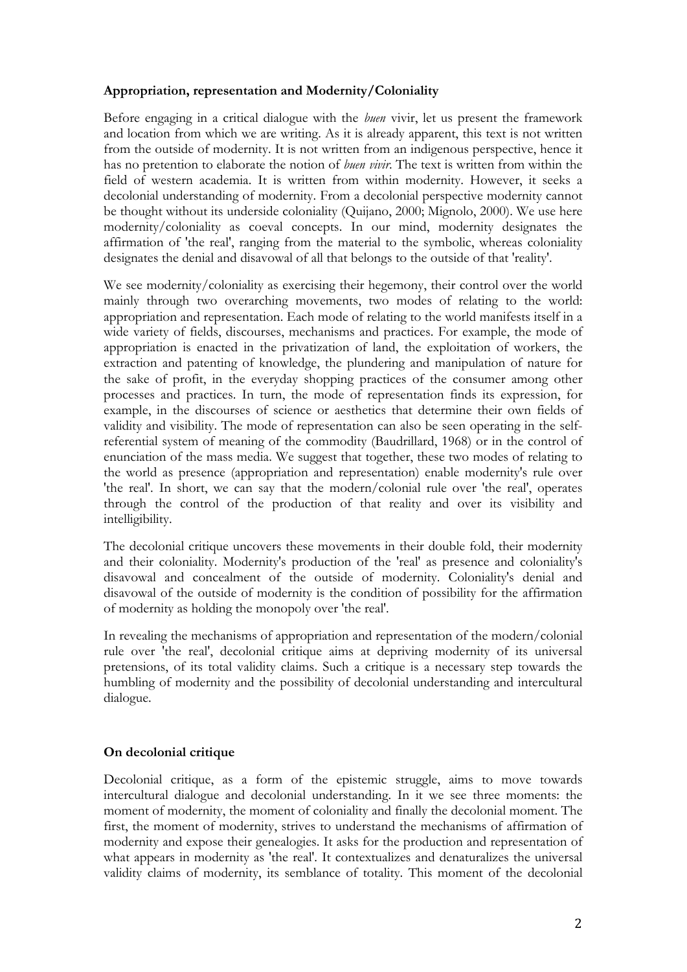## **Appropriation, representation and Modernity/Coloniality**

Before engaging in a critical dialogue with the *buen* vivir, let us present the framework and location from which we are writing. As it is already apparent, this text is not written from the outside of modernity. It is not written from an indigenous perspective, hence it has no pretention to elaborate the notion of *buen vivir*. The text is written from within the field of western academia. It is written from within modernity. However, it seeks a decolonial understanding of modernity. From a decolonial perspective modernity cannot be thought without its underside coloniality (Quijano, 2000; Mignolo, 2000). We use here modernity/coloniality as coeval concepts. In our mind, modernity designates the affirmation of 'the real', ranging from the material to the symbolic, whereas coloniality designates the denial and disavowal of all that belongs to the outside of that 'reality'.

We see modernity/coloniality as exercising their hegemony, their control over the world mainly through two overarching movements, two modes of relating to the world: appropriation and representation. Each mode of relating to the world manifests itself in a wide variety of fields, discourses, mechanisms and practices. For example, the mode of appropriation is enacted in the privatization of land, the exploitation of workers, the extraction and patenting of knowledge, the plundering and manipulation of nature for the sake of profit, in the everyday shopping practices of the consumer among other processes and practices. In turn, the mode of representation finds its expression, for example, in the discourses of science or aesthetics that determine their own fields of validity and visibility. The mode of representation can also be seen operating in the selfreferential system of meaning of the commodity (Baudrillard, 1968) or in the control of enunciation of the mass media. We suggest that together, these two modes of relating to the world as presence (appropriation and representation) enable modernity's rule over 'the real'. In short, we can say that the modern/colonial rule over 'the real', operates through the control of the production of that reality and over its visibility and intelligibility.

The decolonial critique uncovers these movements in their double fold, their modernity and their coloniality. Modernity's production of the 'real' as presence and coloniality's disavowal and concealment of the outside of modernity. Coloniality's denial and disavowal of the outside of modernity is the condition of possibility for the affirmation of modernity as holding the monopoly over 'the real'.

In revealing the mechanisms of appropriation and representation of the modern/colonial rule over 'the real', decolonial critique aims at depriving modernity of its universal pretensions, of its total validity claims. Such a critique is a necessary step towards the humbling of modernity and the possibility of decolonial understanding and intercultural dialogue.

# **On decolonial critique**

Decolonial critique, as a form of the epistemic struggle, aims to move towards intercultural dialogue and decolonial understanding. In it we see three moments: the moment of modernity, the moment of coloniality and finally the decolonial moment. The first, the moment of modernity, strives to understand the mechanisms of affirmation of modernity and expose their genealogies. It asks for the production and representation of what appears in modernity as 'the real'. It contextualizes and denaturalizes the universal validity claims of modernity, its semblance of totality. This moment of the decolonial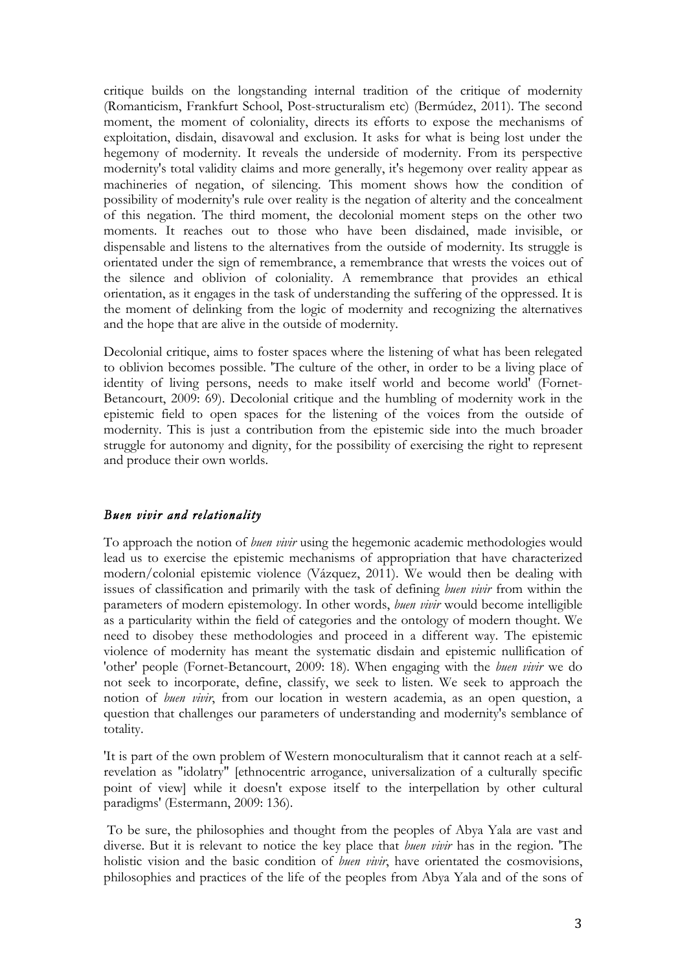critique builds on the longstanding internal tradition of the critique of modernity (Romanticism, Frankfurt School, Post-structuralism etc) (Bermúdez, 2011). The second moment, the moment of coloniality, directs its efforts to expose the mechanisms of exploitation, disdain, disavowal and exclusion. It asks for what is being lost under the hegemony of modernity. It reveals the underside of modernity. From its perspective modernity's total validity claims and more generally, it's hegemony over reality appear as machineries of negation, of silencing. This moment shows how the condition of possibility of modernity's rule over reality is the negation of alterity and the concealment of this negation. The third moment, the decolonial moment steps on the other two moments. It reaches out to those who have been disdained, made invisible, or dispensable and listens to the alternatives from the outside of modernity. Its struggle is orientated under the sign of remembrance, a remembrance that wrests the voices out of the silence and oblivion of coloniality. A remembrance that provides an ethical orientation, as it engages in the task of understanding the suffering of the oppressed. It is the moment of delinking from the logic of modernity and recognizing the alternatives and the hope that are alive in the outside of modernity.

Decolonial critique, aims to foster spaces where the listening of what has been relegated to oblivion becomes possible. 'The culture of the other, in order to be a living place of identity of living persons, needs to make itself world and become world' (Fornet-Betancourt, 2009: 69). Decolonial critique and the humbling of modernity work in the epistemic field to open spaces for the listening of the voices from the outside of modernity. This is just a contribution from the epistemic side into the much broader struggle for autonomy and dignity, for the possibility of exercising the right to represent and produce their own worlds.

## *Buen vivir and relationality*

To approach the notion of *buen vivir* using the hegemonic academic methodologies would lead us to exercise the epistemic mechanisms of appropriation that have characterized modern/colonial epistemic violence (Vázquez, 2011). We would then be dealing with issues of classification and primarily with the task of defining *buen vivir* from within the parameters of modern epistemology. In other words, *buen vivir* would become intelligible as a particularity within the field of categories and the ontology of modern thought. We need to disobey these methodologies and proceed in a different way. The epistemic violence of modernity has meant the systematic disdain and epistemic nullification of 'other' people (Fornet-Betancourt, 2009: 18). When engaging with the *buen vivir* we do not seek to incorporate, define, classify, we seek to listen. We seek to approach the notion of *buen vivir*, from our location in western academia, as an open question, a question that challenges our parameters of understanding and modernity's semblance of totality.

'It is part of the own problem of Western monoculturalism that it cannot reach at a selfrevelation as "idolatry" [ethnocentric arrogance, universalization of a culturally specific point of view] while it doesn't expose itself to the interpellation by other cultural paradigms' (Estermann, 2009: 136).

To be sure, the philosophies and thought from the peoples of Abya Yala are vast and diverse. But it is relevant to notice the key place that *buen vivir* has in the region. 'The holistic vision and the basic condition of *buen vivir*, have orientated the cosmovisions, philosophies and practices of the life of the peoples from Abya Yala and of the sons of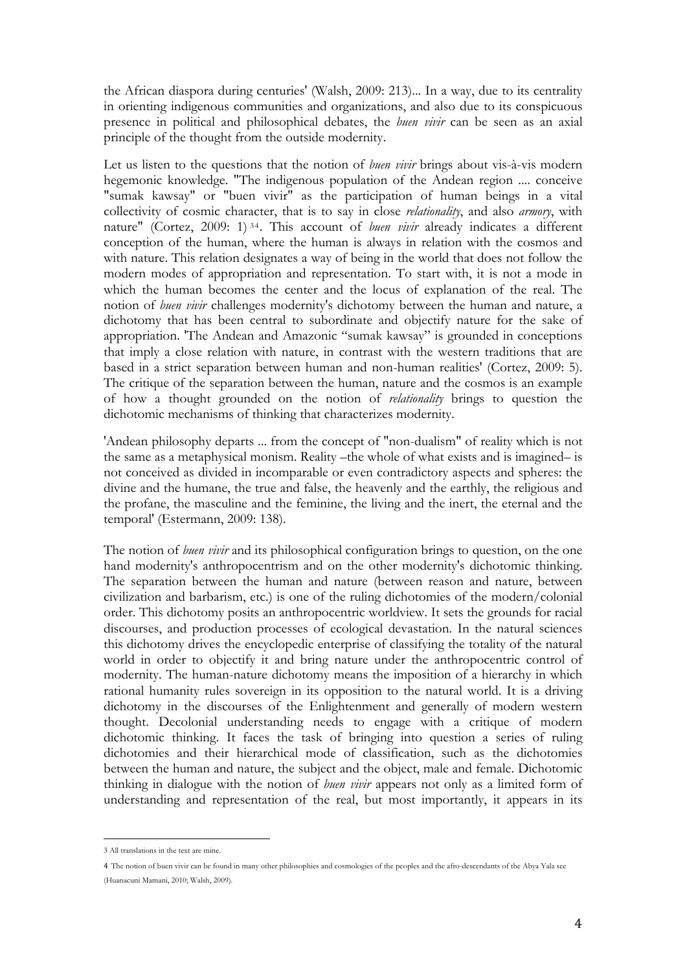the African diaspora during centuries' (Walsh, 2009: 213)... In a way, due to its centrality in orienting indigenous communities and organizations, and also due to its conspicuous presence in political and philosophical debates, the *buen vivir* can be seen as an axial principle of the thought from the outside modernity.

Let us listen to the questions that the notion of *buen vivir* brings about vis-à-vis modern hegemonic knowledge. "The indigenous population of the Andean region .... conceive "sumak kawsay" or "buen vivir" as the participation of human beings in a vital collectivity of cosmic character, that is to say in close *relationality*, and also *armory*, with nature" (Cortez, 2009: 1) 34. This account of *buen vivir* already indicates a different conception of the human, where the human is always in relation with the cosmos and with nature. This relation designates a way of being in the world that does not follow the modern modes of appropriation and representation. To start with, it is not a mode in which the human becomes the center and the locus of explanation of the real. The notion of *buen vivir* challenges modernity's dichotomy between the human and nature, a dichotomy that has been central to subordinate and objectify nature for the sake of appropriation. 'The Andean and Amazonic "sumak kawsay" is grounded in conceptions that imply a close relation with nature, in contrast with the western traditions that are based in a strict separation between human and non-human realities' (Cortez, 2009: 5). The critique of the separation between the human, nature and the cosmos is an example of how a thought grounded on the notion of *relationality* brings to question the dichotomic mechanisms of thinking that characterizes modernity.

'Andean philosophy departs ... from the concept of "non-dualism" of reality which is not the same as a metaphysical monism. Reality –the whole of what exists and is imagined– is not conceived as divided in incomparable or even contradictory aspects and spheres: the divine and the humane, the true and false, the heavenly and the earthly, the religious and the profane, the masculine and the feminine, the living and the inert, the eternal and the temporal' (Estermann, 2009: 138).

The notion of *buen vivir* and its philosophical configuration brings to question, on the one hand modernity's anthropocentrism and on the other modernity's dichotomic thinking. The separation between the human and nature (between reason and nature, between civilization and barbarism, etc.) is one of the ruling dichotomies of the modern/colonial order. This dichotomy posits an anthropocentric worldview. It sets the grounds for racial discourses, and production processes of ecological devastation. In the natural sciences this dichotomy drives the encyclopedic enterprise of classifying the totality of the natural world in order to objectify it and bring nature under the anthropocentric control of modernity. The human-nature dichotomy means the imposition of a hierarchy in which rational humanity rules sovereign in its opposition to the natural world. It is a driving dichotomy in the discourses of the Enlightenment and generally of modern western thought. Decolonial understanding needs to engage with a critique of modern dichotomic thinking. It faces the task of bringing into question a series of ruling dichotomies and their hierarchical mode of classification, such as the dichotomies between the human and nature, the subject and the object, male and female. Dichotomic thinking in dialogue with the notion of *buen vivir* appears not only as a limited form of understanding and representation of the real, but most importantly, it appears in its

 

<sup>3</sup> All translations in the text are mine.

<sup>4</sup> The notion of buen vivir can be found in many other philosophies and cosmologies of the peoples and the afro-descendants of the Abya Yala see (Huanacuni Mamani, 2010; Walsh, 2009).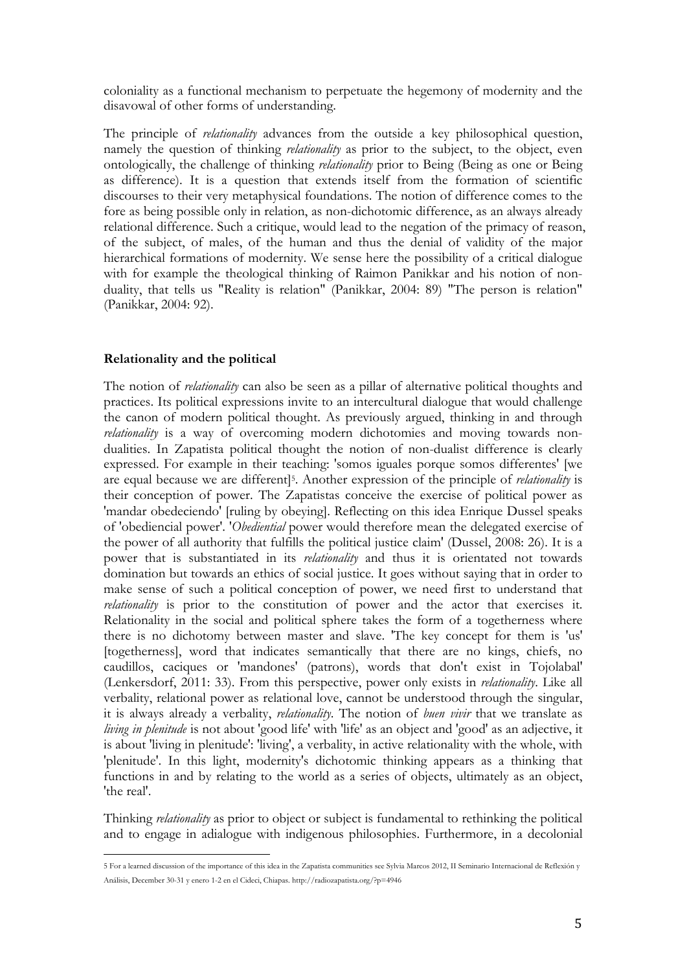coloniality as a functional mechanism to perpetuate the hegemony of modernity and the disavowal of other forms of understanding.

The principle of *relationality* advances from the outside a key philosophical question, namely the question of thinking *relationality* as prior to the subject, to the object, even ontologically, the challenge of thinking *relationality* prior to Being (Being as one or Being as difference). It is a question that extends itself from the formation of scientific discourses to their very metaphysical foundations. The notion of difference comes to the fore as being possible only in relation, as non-dichotomic difference, as an always already relational difference. Such a critique, would lead to the negation of the primacy of reason, of the subject, of males, of the human and thus the denial of validity of the major hierarchical formations of modernity. We sense here the possibility of a critical dialogue with for example the theological thinking of Raimon Panikkar and his notion of nonduality, that tells us "Reality is relation" (Panikkar, 2004: 89) "The person is relation" (Panikkar, 2004: 92).

#### **Relationality and the political**

 

The notion of *relationality* can also be seen as a pillar of alternative political thoughts and practices. Its political expressions invite to an intercultural dialogue that would challenge the canon of modern political thought. As previously argued, thinking in and through *relationality* is a way of overcoming modern dichotomies and moving towards nondualities. In Zapatista political thought the notion of non-dualist difference is clearly expressed. For example in their teaching: 'somos iguales porque somos differentes' [we are equal because we are different]5. Another expression of the principle of *relationality* is their conception of power. The Zapatistas conceive the exercise of political power as 'mandar obedeciendo' [ruling by obeying]. Reflecting on this idea Enrique Dussel speaks of 'obediencial power'. '*Obediential* power would therefore mean the delegated exercise of the power of all authority that fulfills the political justice claim' (Dussel, 2008: 26). It is a power that is substantiated in its *relationality* and thus it is orientated not towards domination but towards an ethics of social justice. It goes without saying that in order to make sense of such a political conception of power, we need first to understand that *relationality* is prior to the constitution of power and the actor that exercises it. Relationality in the social and political sphere takes the form of a togetherness where there is no dichotomy between master and slave. 'The key concept for them is 'us' [togetherness], word that indicates semantically that there are no kings, chiefs, no caudillos, caciques or 'mandones' (patrons), words that don't exist in Tojolabal' (Lenkersdorf, 2011: 33). From this perspective, power only exists in *relationality*. Like all verbality, relational power as relational love, cannot be understood through the singular, it is always already a verbality, *relationality*. The notion of *buen vivir* that we translate as *living in plenitude* is not about 'good life' with 'life' as an object and 'good' as an adjective, it is about 'living in plenitude': 'living', a verbality, in active relationality with the whole, with 'plenitude'. In this light, modernity's dichotomic thinking appears as a thinking that functions in and by relating to the world as a series of objects, ultimately as an object, 'the real'.

Thinking *relationality* as prior to object or subject is fundamental to rethinking the political and to engage in adialogue with indigenous philosophies. Furthermore, in a decolonial

<sup>5</sup> For a learned discussion of the importance of this idea in the Zapatista communities see Sylvia Marcos 2012, II Seminario Internacional de Reflexión y Análisis, December 30-31 y enero 1-2 en el Cideci, Chiapas. http://radiozapatista.org/?p=4946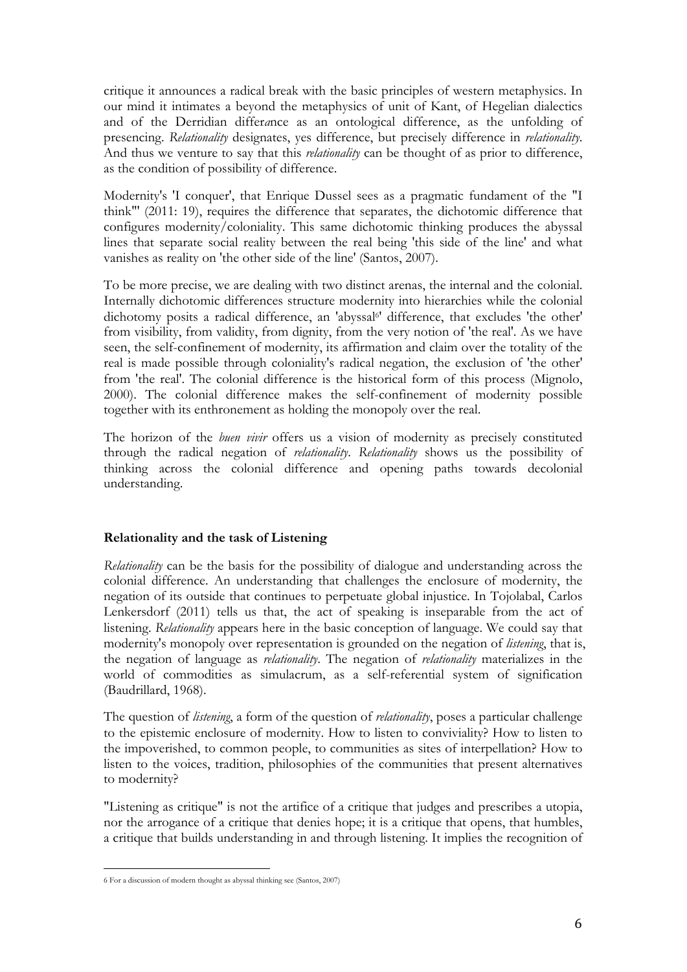critique it announces a radical break with the basic principles of western metaphysics. In our mind it intimates a beyond the metaphysics of unit of Kant, of Hegelian dialectics and of the Derridian differ*a*nce as an ontological difference, as the unfolding of presencing. *Relationality* designates, yes difference, but precisely difference in *relationality*. And thus we venture to say that this *relationality* can be thought of as prior to difference, as the condition of possibility of difference.

Modernity's 'I conquer', that Enrique Dussel sees as a pragmatic fundament of the "I think"' (2011: 19), requires the difference that separates, the dichotomic difference that configures modernity/coloniality. This same dichotomic thinking produces the abyssal lines that separate social reality between the real being 'this side of the line' and what vanishes as reality on 'the other side of the line' (Santos, 2007).

To be more precise, we are dealing with two distinct arenas, the internal and the colonial. Internally dichotomic differences structure modernity into hierarchies while the colonial dichotomy posits a radical difference, an 'abyssal<sup>6</sup>' difference, that excludes 'the other' from visibility, from validity, from dignity, from the very notion of 'the real'. As we have seen, the self-confinement of modernity, its affirmation and claim over the totality of the real is made possible through coloniality's radical negation, the exclusion of 'the other' from 'the real'. The colonial difference is the historical form of this process (Mignolo, 2000). The colonial difference makes the self-confinement of modernity possible together with its enthronement as holding the monopoly over the real.

The horizon of the *buen vivir* offers us a vision of modernity as precisely constituted through the radical negation of *relationality*. *Relationality* shows us the possibility of thinking across the colonial difference and opening paths towards decolonial understanding.

## **Relationality and the task of Listening**

*Relationality* can be the basis for the possibility of dialogue and understanding across the colonial difference. An understanding that challenges the enclosure of modernity, the negation of its outside that continues to perpetuate global injustice. In Tojolabal, Carlos Lenkersdorf (2011) tells us that, the act of speaking is inseparable from the act of listening. *Relationality* appears here in the basic conception of language. We could say that modernity's monopoly over representation is grounded on the negation of *listening*, that is, the negation of language as *relationality*. The negation of *relationality* materializes in the world of commodities as simulacrum, as a self-referential system of signification (Baudrillard, 1968).

The question of *listening*, a form of the question of *relationality*, poses a particular challenge to the epistemic enclosure of modernity. How to listen to conviviality? How to listen to the impoverished, to common people, to communities as sites of interpellation? How to listen to the voices, tradition, philosophies of the communities that present alternatives to modernity?

"Listening as critique" is not the artifice of a critique that judges and prescribes a utopia, nor the arrogance of a critique that denies hope; it is a critique that opens, that humbles, a critique that builds understanding in and through listening. It implies the recognition of

 

<sup>6</sup> For a discussion of modern thought as abyssal thinking see (Santos, 2007)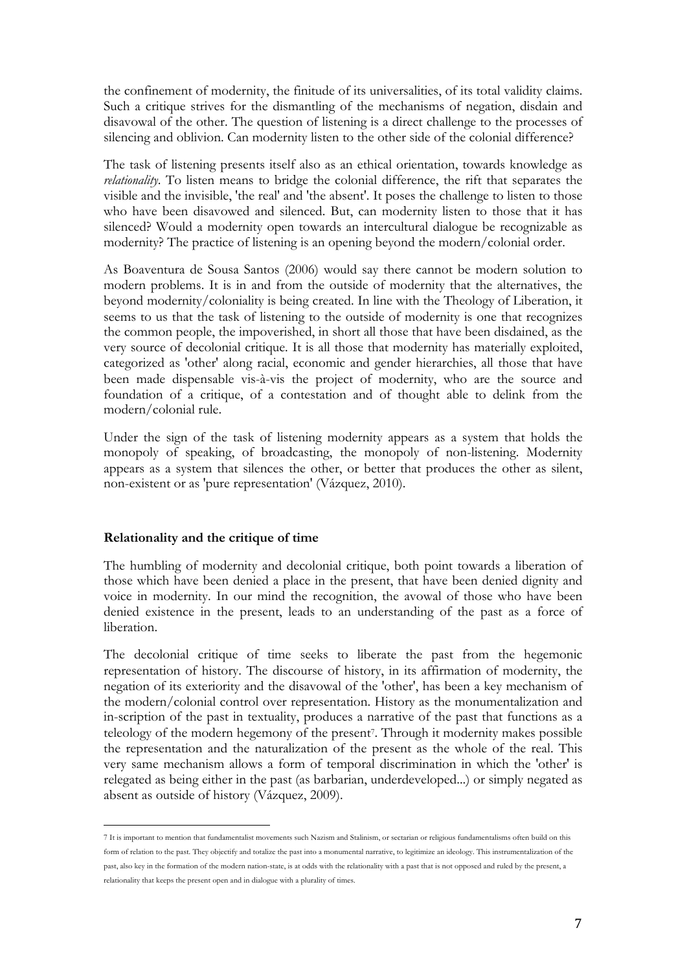the confinement of modernity, the finitude of its universalities, of its total validity claims. Such a critique strives for the dismantling of the mechanisms of negation, disdain and disavowal of the other. The question of listening is a direct challenge to the processes of silencing and oblivion. Can modernity listen to the other side of the colonial difference?

The task of listening presents itself also as an ethical orientation, towards knowledge as *relationality*. To listen means to bridge the colonial difference, the rift that separates the visible and the invisible, 'the real' and 'the absent'. It poses the challenge to listen to those who have been disavowed and silenced. But, can modernity listen to those that it has silenced? Would a modernity open towards an intercultural dialogue be recognizable as modernity? The practice of listening is an opening beyond the modern/colonial order.

As Boaventura de Sousa Santos (2006) would say there cannot be modern solution to modern problems. It is in and from the outside of modernity that the alternatives, the beyond modernity/coloniality is being created. In line with the Theology of Liberation, it seems to us that the task of listening to the outside of modernity is one that recognizes the common people, the impoverished, in short all those that have been disdained, as the very source of decolonial critique. It is all those that modernity has materially exploited, categorized as 'other' along racial, economic and gender hierarchies, all those that have been made dispensable vis-à-vis the project of modernity, who are the source and foundation of a critique, of a contestation and of thought able to delink from the modern/colonial rule.

Under the sign of the task of listening modernity appears as a system that holds the monopoly of speaking, of broadcasting, the monopoly of non-listening. Modernity appears as a system that silences the other, or better that produces the other as silent, non-existent or as 'pure representation' (Vázquez, 2010).

#### **Relationality and the critique of time**

 

The humbling of modernity and decolonial critique, both point towards a liberation of those which have been denied a place in the present, that have been denied dignity and voice in modernity. In our mind the recognition, the avowal of those who have been denied existence in the present, leads to an understanding of the past as a force of liberation.

The decolonial critique of time seeks to liberate the past from the hegemonic representation of history. The discourse of history, in its affirmation of modernity, the negation of its exteriority and the disavowal of the 'other', has been a key mechanism of the modern/colonial control over representation. History as the monumentalization and in-scription of the past in textuality, produces a narrative of the past that functions as a teleology of the modern hegemony of the present7. Through it modernity makes possible the representation and the naturalization of the present as the whole of the real. This very same mechanism allows a form of temporal discrimination in which the 'other' is relegated as being either in the past (as barbarian, underdeveloped...) or simply negated as absent as outside of history (Vázquez, 2009).

<sup>7</sup> It is important to mention that fundamentalist movements such Nazism and Stalinism, or sectarian or religious fundamentalisms often build on this form of relation to the past. They objectify and totalize the past into a monumental narrative, to legitimize an ideology. This instrumentalization of the past, also key in the formation of the modern nation-state, is at odds with the relationality with a past that is not opposed and ruled by the present, a relationality that keeps the present open and in dialogue with a plurality of times.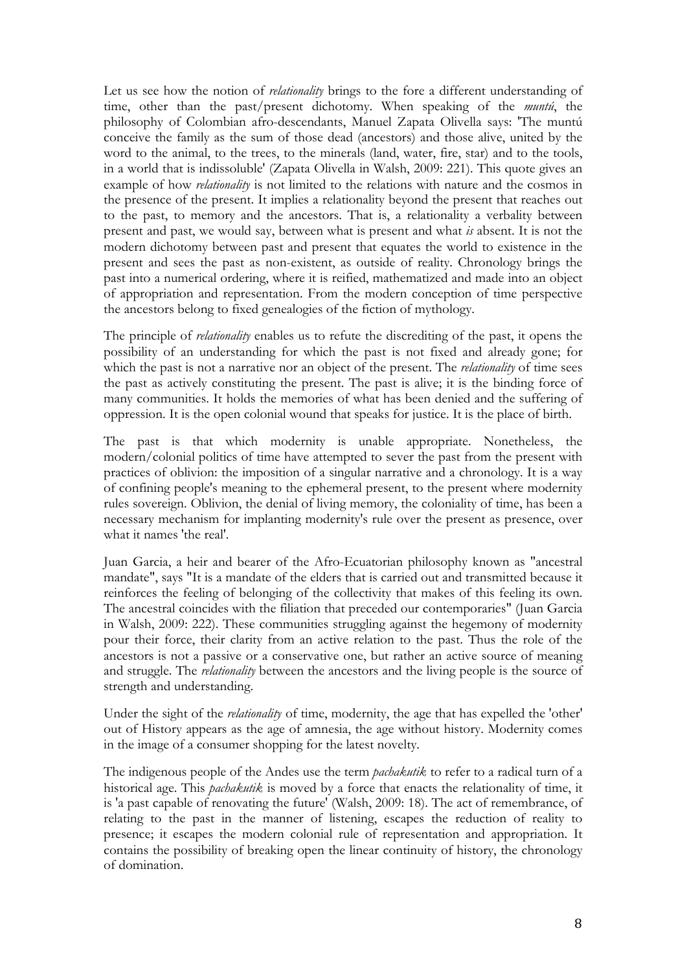Let us see how the notion of *relationality* brings to the fore a different understanding of time, other than the past/present dichotomy. When speaking of the *muntú*, the philosophy of Colombian afro-descendants, Manuel Zapata Olivella says: 'The muntú conceive the family as the sum of those dead (ancestors) and those alive, united by the word to the animal, to the trees, to the minerals (land, water, fire, star) and to the tools, in a world that is indissoluble' (Zapata Olivella in Walsh, 2009: 221). This quote gives an example of how *relationality* is not limited to the relations with nature and the cosmos in the presence of the present. It implies a relationality beyond the present that reaches out to the past, to memory and the ancestors. That is, a relationality a verbality between present and past, we would say, between what is present and what *is* absent. It is not the modern dichotomy between past and present that equates the world to existence in the present and sees the past as non-existent, as outside of reality. Chronology brings the past into a numerical ordering, where it is reified, mathematized and made into an object of appropriation and representation. From the modern conception of time perspective the ancestors belong to fixed genealogies of the fiction of mythology.

The principle of *relationality* enables us to refute the discrediting of the past, it opens the possibility of an understanding for which the past is not fixed and already gone; for which the past is not a narrative nor an object of the present. The *relationality* of time sees the past as actively constituting the present. The past is alive; it is the binding force of many communities. It holds the memories of what has been denied and the suffering of oppression. It is the open colonial wound that speaks for justice. It is the place of birth.

The past is that which modernity is unable appropriate. Nonetheless, the modern/colonial politics of time have attempted to sever the past from the present with practices of oblivion: the imposition of a singular narrative and a chronology. It is a way of confining people's meaning to the ephemeral present, to the present where modernity rules sovereign. Oblivion, the denial of living memory, the coloniality of time, has been a necessary mechanism for implanting modernity's rule over the present as presence, over what it names 'the real'.

Juan Garcia, a heir and bearer of the Afro-Ecuatorian philosophy known as "ancestral mandate", says "It is a mandate of the elders that is carried out and transmitted because it reinforces the feeling of belonging of the collectivity that makes of this feeling its own. The ancestral coincides with the filiation that preceded our contemporaries" (Juan Garcia in Walsh, 2009: 222). These communities struggling against the hegemony of modernity pour their force, their clarity from an active relation to the past. Thus the role of the ancestors is not a passive or a conservative one, but rather an active source of meaning and struggle. The *relationality* between the ancestors and the living people is the source of strength and understanding.

Under the sight of the *relationality* of time, modernity, the age that has expelled the 'other' out of History appears as the age of amnesia, the age without history. Modernity comes in the image of a consumer shopping for the latest novelty.

The indigenous people of the Andes use the term *pachakutik* to refer to a radical turn of a historical age. This *pachakutik* is moved by a force that enacts the relationality of time, it is 'a past capable of renovating the future' (Walsh, 2009: 18). The act of remembrance, of relating to the past in the manner of listening, escapes the reduction of reality to presence; it escapes the modern colonial rule of representation and appropriation. It contains the possibility of breaking open the linear continuity of history, the chronology of domination.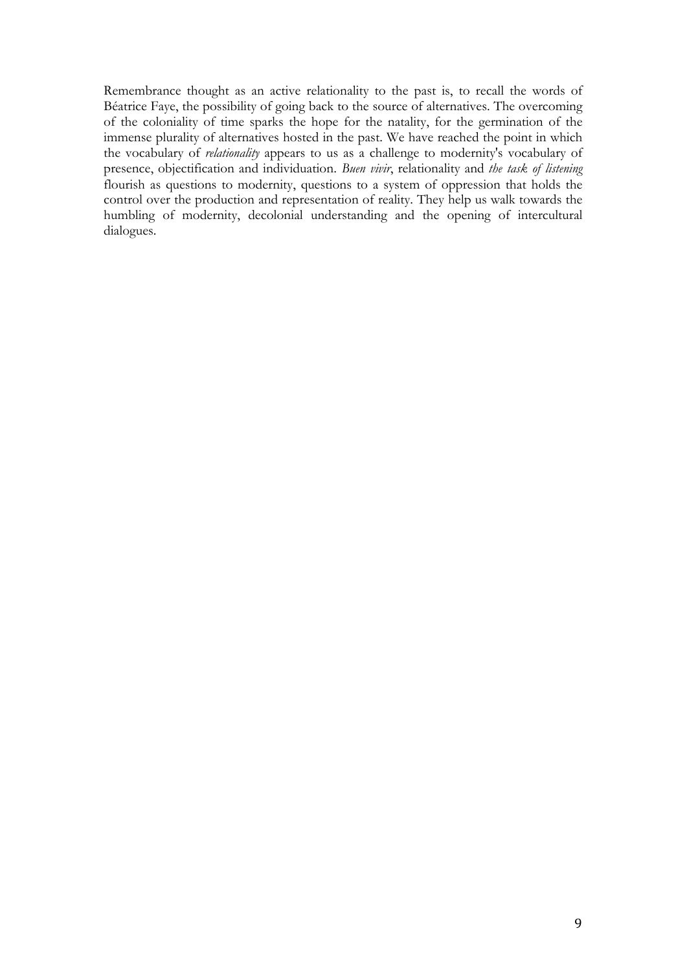Remembrance thought as an active relationality to the past is, to recall the words of Béatrice Faye, the possibility of going back to the source of alternatives. The overcoming of the coloniality of time sparks the hope for the natality, for the germination of the immense plurality of alternatives hosted in the past. We have reached the point in which the vocabulary of *relationality* appears to us as a challenge to modernity's vocabulary of presence, objectification and individuation. *Buen vivir*, relationality and *the task of listening* flourish as questions to modernity, questions to a system of oppression that holds the control over the production and representation of reality. They help us walk towards the humbling of modernity, decolonial understanding and the opening of intercultural dialogues.